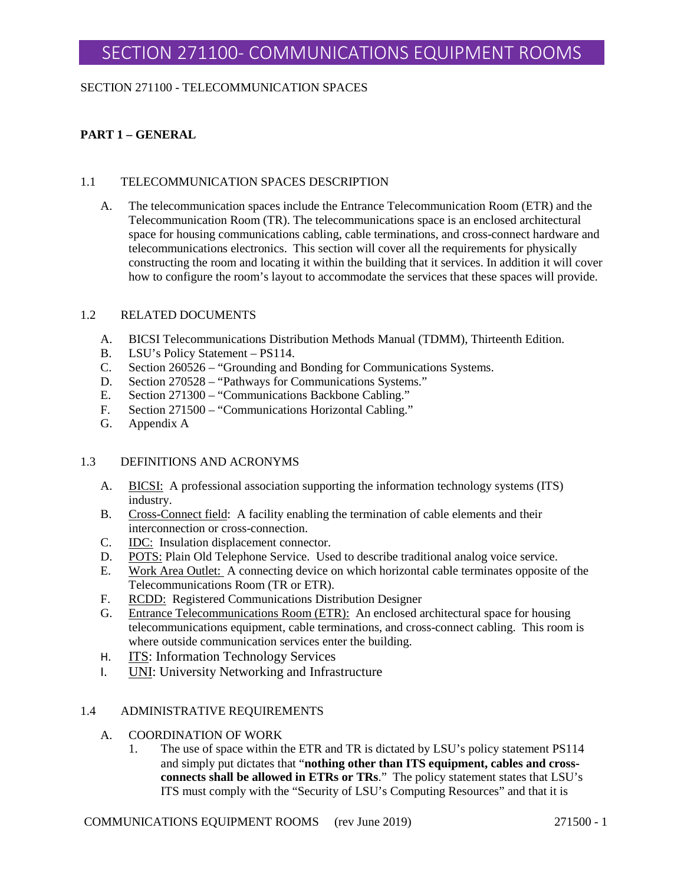### SECTION 271100 - TELECOMMUNICATION SPACES

# **PART 1 – GENERAL**

#### 1.1 TELECOMMUNICATION SPACES DESCRIPTION

A. The telecommunication spaces include the Entrance Telecommunication Room (ETR) and the Telecommunication Room (TR). The telecommunications space is an enclosed architectural space for housing communications cabling, cable terminations, and cross-connect hardware and telecommunications electronics. This section will cover all the requirements for physically constructing the room and locating it within the building that it services. In addition it will cover how to configure the room's layout to accommodate the services that these spaces will provide.

#### 1.2 RELATED DOCUMENTS

- A. BICSI Telecommunications Distribution Methods Manual (TDMM), Thirteenth Edition.
- B. LSU's Policy Statement PS114.
- C. Section 260526 "Grounding and Bonding for Communications Systems.
- D. Section 270528 "Pathways for Communications Systems."
- E. Section 271300 "Communications Backbone Cabling."
- F. Section 271500 "Communications Horizontal Cabling."
- G. Appendix A

### 1.3 DEFINITIONS AND ACRONYMS

- A. BICSI: A professional association supporting the information technology systems (ITS) industry.
- B. Cross-Connect field: A facility enabling the termination of cable elements and their interconnection or cross-connection.
- C. IDC: Insulation displacement connector.
- D. POTS: Plain Old Telephone Service. Used to describe traditional analog voice service.
- E. Work Area Outlet: A connecting device on which horizontal cable terminates opposite of the Telecommunications Room (TR or ETR).
- F. RCDD: Registered Communications Distribution Designer
- G. Entrance Telecommunications Room (ETR): An enclosed architectural space for housing telecommunications equipment, cable terminations, and cross-connect cabling. This room is where outside communication services enter the building.
- H. ITS: Information Technology Services
- I. UNI: University Networking and Infrastructure

### 1.4 ADMINISTRATIVE REQUIREMENTS

- A. COORDINATION OF WORK
	- 1. The use of space within the ETR and TR is dictated by LSU's policy statement PS114 and simply put dictates that "**nothing other than ITS equipment, cables and crossconnects shall be allowed in ETRs or TRs**." The policy statement states that LSU's ITS must comply with the "Security of LSU's Computing Resources" and that it is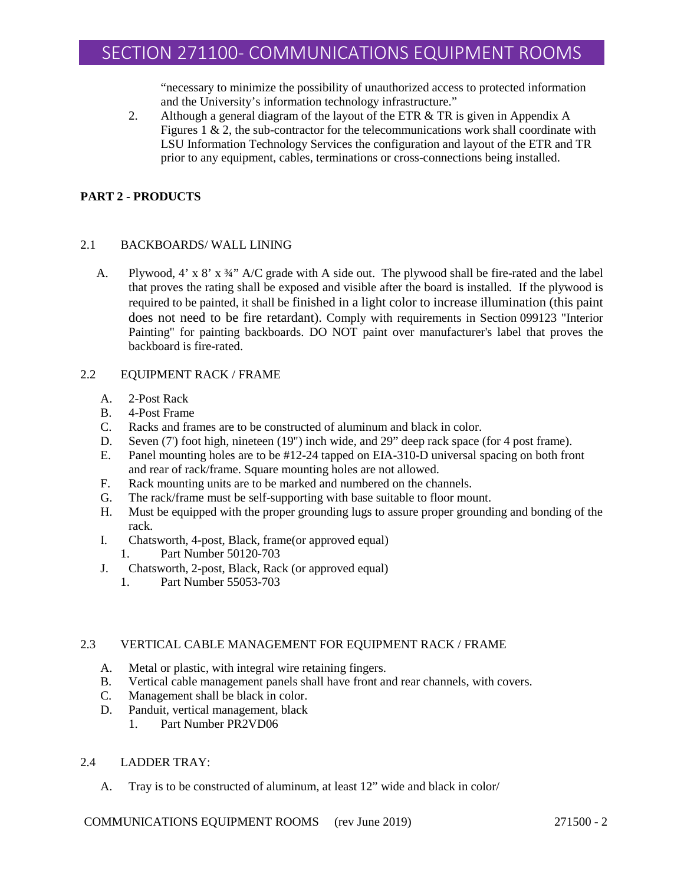"necessary to minimize the possibility of unauthorized access to protected information and the University's information technology infrastructure."

2. Although a general diagram of the layout of the ETR & TR is given in Appendix A Figures 1  $\&$  2, the sub-contractor for the telecommunications work shall coordinate with LSU Information Technology Services the configuration and layout of the ETR and TR prior to any equipment, cables, terminations or cross-connections being installed.

# **PART 2 - PRODUCTS**

### 2.1 BACKBOARDS/ WALL LINING

A. Plywood, 4' x  $8'$  x  $\frac{3}{4}$ " A/C grade with A side out. The plywood shall be fire-rated and the label that proves the rating shall be exposed and visible after the board is installed. If the plywood is required to be painted, it shall be finished in a light color to increase illumination (this paint does not need to be fire retardant). Comply with requirements in Section 099123 "Interior Painting" for painting backboards. DO NOT paint over manufacturer's label that proves the backboard is fire-rated.

### 2.2 EQUIPMENT RACK / FRAME

- A. 2-Post Rack
- B. 4-Post Frame
- C. Racks and frames are to be constructed of aluminum and black in color.
- D. Seven (7') foot high, nineteen (19") inch wide, and 29" deep rack space (for 4 post frame).
- E. Panel mounting holes are to be #12-24 tapped on EIA-310-D universal spacing on both front and rear of rack/frame. Square mounting holes are not allowed.
- F. Rack mounting units are to be marked and numbered on the channels.
- G. The rack/frame must be self-supporting with base suitable to floor mount.
- H. Must be equipped with the proper grounding lugs to assure proper grounding and bonding of the rack.
- I. Chatsworth, 4-post, Black, frame(or approved equal)
	- 1. Part Number 50120-703
- J. Chatsworth, 2-post, Black, Rack (or approved equal)
	- 1. Part Number 55053-703

### 2.3 VERTICAL CABLE MANAGEMENT FOR EQUIPMENT RACK / FRAME

- A. Metal or plastic, with integral wire retaining fingers.
- B. Vertical cable management panels shall have front and rear channels, with covers.
- C. Management shall be black in color.
- D. Panduit, vertical management, black
	- 1. Part Number PR2VD06

### 2.4 LADDER TRAY:

A. Tray is to be constructed of aluminum, at least 12" wide and black in color/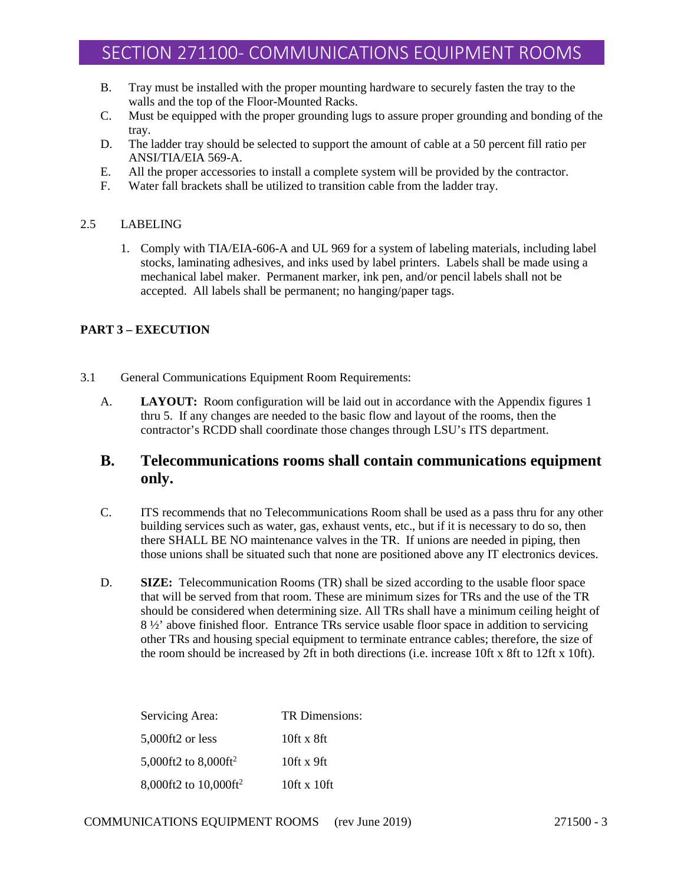- B. Tray must be installed with the proper mounting hardware to securely fasten the tray to the walls and the top of the Floor-Mounted Racks.
- C. Must be equipped with the proper grounding lugs to assure proper grounding and bonding of the tray.
- D. The ladder tray should be selected to support the amount of cable at a 50 percent fill ratio per ANSI/TIA/EIA 569-A.
- E. All the proper accessories to install a complete system will be provided by the contractor.
- F. Water fall brackets shall be utilized to transition cable from the ladder tray.

#### 2.5 LABELING

1. Comply with TIA/EIA-606-A and UL 969 for a system of labeling materials, including label stocks, laminating adhesives, and inks used by label printers. Labels shall be made using a mechanical label maker. Permanent marker, ink pen, and/or pencil labels shall not be accepted. All labels shall be permanent; no hanging/paper tags.

### **PART 3 – EXECUTION**

- 3.1 General Communications Equipment Room Requirements:
	- A. **LAYOUT:** Room configuration will be laid out in accordance with the Appendix figures 1 thru 5. If any changes are needed to the basic flow and layout of the rooms, then the contractor's RCDD shall coordinate those changes through LSU's ITS department.

# **B. Telecommunications rooms shall contain communications equipment only.**

- C. ITS recommends that no Telecommunications Room shall be used as a pass thru for any other building services such as water, gas, exhaust vents, etc., but if it is necessary to do so, then there SHALL BE NO maintenance valves in the TR. If unions are needed in piping, then those unions shall be situated such that none are positioned above any IT electronics devices.
- D. **SIZE:** Telecommunication Rooms (TR) shall be sized according to the usable floor space that will be served from that room. These are minimum sizes for TRs and the use of the TR should be considered when determining size. All TRs shall have a minimum ceiling height of 8 ½' above finished floor. Entrance TRs service usable floor space in addition to servicing other TRs and housing special equipment to terminate entrance cables; therefore, the size of the room should be increased by 2ft in both directions (i.e. increase 10ft x 8ft to 12ft x 10ft).

| Servicing Area:                     | TR Dimensions:    |
|-------------------------------------|-------------------|
| 5,000ft2 or less                    | $10$ ft x $8$ ft  |
| 5,000ft2 to $8,000$ ft <sup>2</sup> | $10$ ft x $9$ ft  |
| 8,000ft2 to 10,000ft <sup>2</sup>   | $10$ ft x $10$ ft |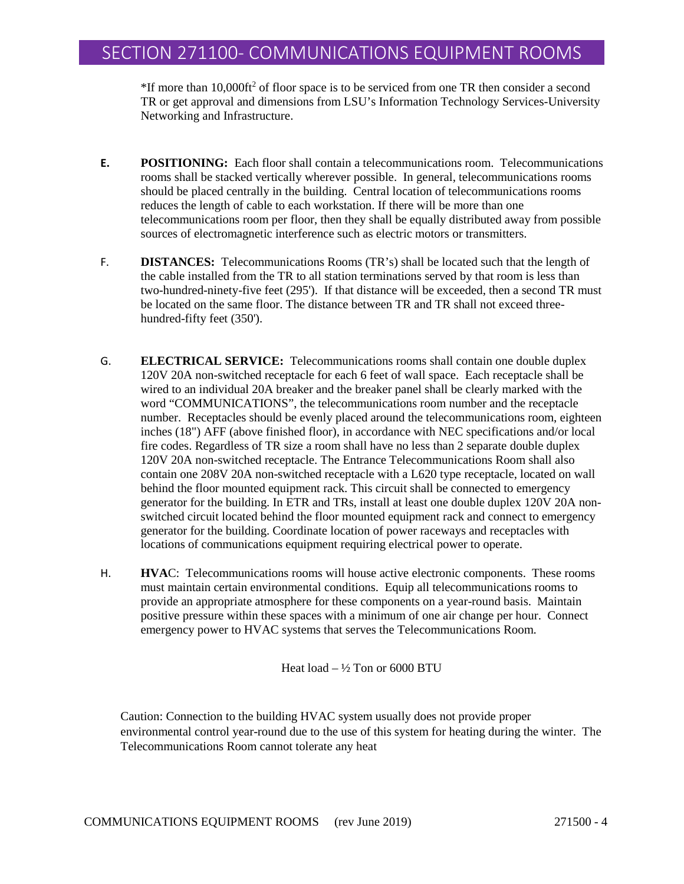$*$ If more than 10,000ft<sup>2</sup> of floor space is to be serviced from one TR then consider a second TR or get approval and dimensions from LSU's Information Technology Services-University Networking and Infrastructure.

- **E. POSITIONING:** Each floor shall contain a telecommunications room. Telecommunications rooms shall be stacked vertically wherever possible. In general, telecommunications rooms should be placed centrally in the building. Central location of telecommunications rooms reduces the length of cable to each workstation. If there will be more than one telecommunications room per floor, then they shall be equally distributed away from possible sources of electromagnetic interference such as electric motors or transmitters.
- F. **DISTANCES:** Telecommunications Rooms (TR's) shall be located such that the length of the cable installed from the TR to all station terminations served by that room is less than two-hundred-ninety-five feet (295'). If that distance will be exceeded, then a second TR must be located on the same floor. The distance between TR and TR shall not exceed threehundred-fifty feet (350').
- G. **ELECTRICAL SERVICE:** Telecommunications rooms shall contain one double duplex 120V 20A non-switched receptacle for each 6 feet of wall space. Each receptacle shall be wired to an individual 20A breaker and the breaker panel shall be clearly marked with the word "COMMUNICATIONS", the telecommunications room number and the receptacle number. Receptacles should be evenly placed around the telecommunications room, eighteen inches (18") AFF (above finished floor), in accordance with NEC specifications and/or local fire codes. Regardless of TR size a room shall have no less than 2 separate double duplex 120V 20A non-switched receptacle. The Entrance Telecommunications Room shall also contain one 208V 20A non-switched receptacle with a L620 type receptacle, located on wall behind the floor mounted equipment rack. This circuit shall be connected to emergency generator for the building. In ETR and TRs, install at least one double duplex 120V 20A nonswitched circuit located behind the floor mounted equipment rack and connect to emergency generator for the building. Coordinate location of power raceways and receptacles with locations of communications equipment requiring electrical power to operate.
- H. **HVA**C: Telecommunications rooms will house active electronic components. These rooms must maintain certain environmental conditions. Equip all telecommunications rooms to provide an appropriate atmosphere for these components on a year-round basis. Maintain positive pressure within these spaces with a minimum of one air change per hour. Connect emergency power to HVAC systems that serves the Telecommunications Room.

Heat load  $-$  1/2 Ton or 6000 BTU

Caution: Connection to the building HVAC system usually does not provide proper environmental control year-round due to the use of this system for heating during the winter. The Telecommunications Room cannot tolerate any heat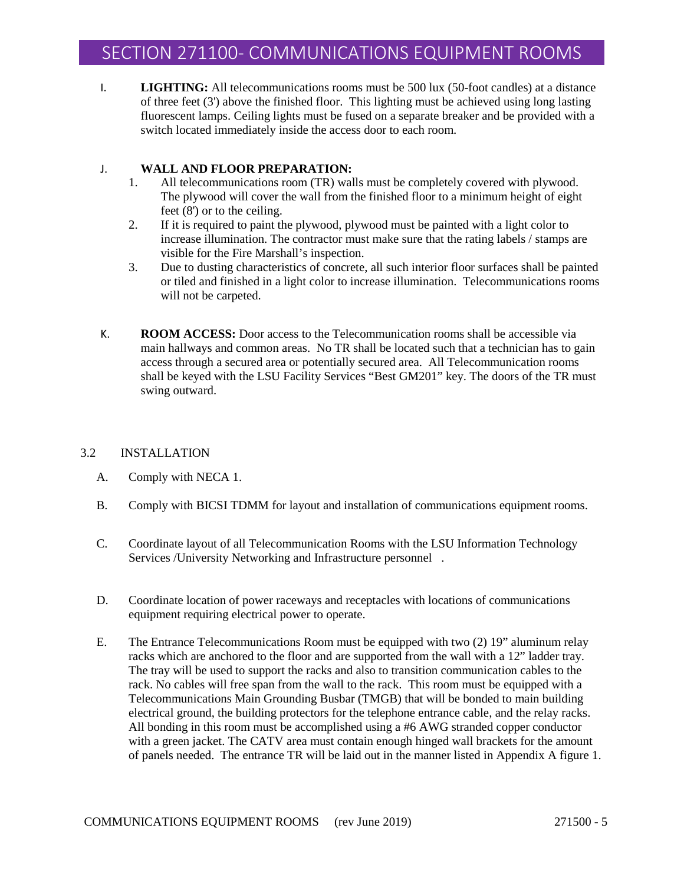I. **LIGHTING:** All telecommunications rooms must be 500 lux (50-foot candles) at a distance of three feet (3') above the finished floor. This lighting must be achieved using long lasting fluorescent lamps. Ceiling lights must be fused on a separate breaker and be provided with a switch located immediately inside the access door to each room.

### J. **WALL AND FLOOR PREPARATION:**

- 1. All telecommunications room (TR) walls must be completely covered with plywood. The plywood will cover the wall from the finished floor to a minimum height of eight feet (8') or to the ceiling.
- 2. If it is required to paint the plywood, plywood must be painted with a light color to increase illumination. The contractor must make sure that the rating labels / stamps are visible for the Fire Marshall's inspection.
- 3. Due to dusting characteristics of concrete, all such interior floor surfaces shall be painted or tiled and finished in a light color to increase illumination. Telecommunications rooms will not be carpeted.
- K. **ROOM ACCESS:** Door access to the Telecommunication rooms shall be accessible via main hallways and common areas. No TR shall be located such that a technician has to gain access through a secured area or potentially secured area. All Telecommunication rooms shall be keyed with the LSU Facility Services "Best GM201" key. The doors of the TR must swing outward.

# 3.2 INSTALLATION

- A. Comply with NECA 1.
- B. Comply with BICSI TDMM for layout and installation of communications equipment rooms.
- C. Coordinate layout of all Telecommunication Rooms with the LSU Information Technology Services /University Networking and Infrastructure personnel .
- D. Coordinate location of power raceways and receptacles with locations of communications equipment requiring electrical power to operate.
- E. The Entrance Telecommunications Room must be equipped with two (2) 19" aluminum relay racks which are anchored to the floor and are supported from the wall with a 12" ladder tray. The tray will be used to support the racks and also to transition communication cables to the rack. No cables will free span from the wall to the rack. This room must be equipped with a Telecommunications Main Grounding Busbar (TMGB) that will be bonded to main building electrical ground, the building protectors for the telephone entrance cable, and the relay racks. All bonding in this room must be accomplished using a #6 AWG stranded copper conductor with a green jacket. The CATV area must contain enough hinged wall brackets for the amount of panels needed. The entrance TR will be laid out in the manner listed in Appendix A figure 1.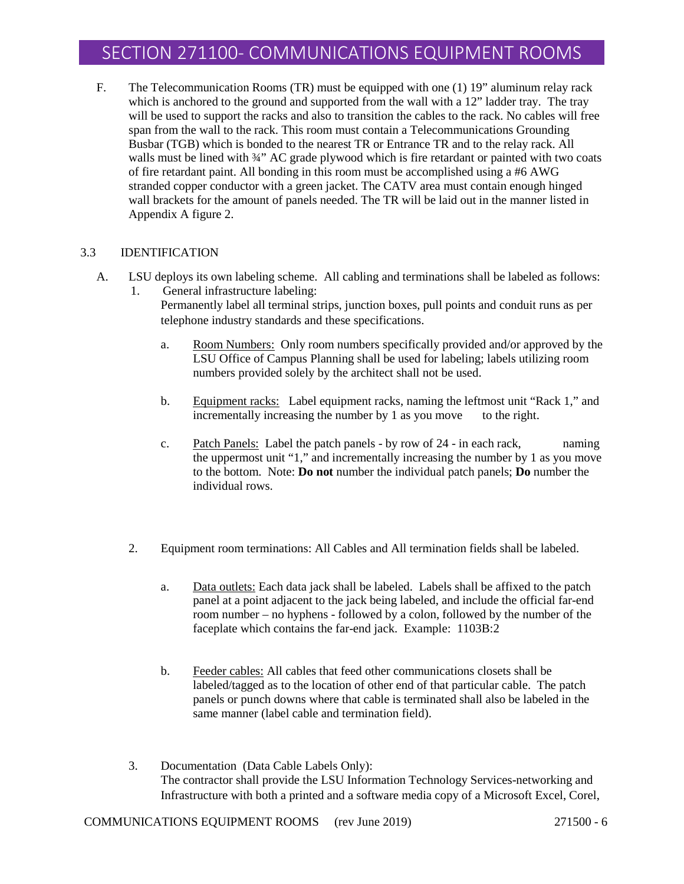F. The Telecommunication Rooms (TR) must be equipped with one (1) 19" aluminum relay rack which is anchored to the ground and supported from the wall with a 12" ladder tray. The tray will be used to support the racks and also to transition the cables to the rack. No cables will free span from the wall to the rack. This room must contain a Telecommunications Grounding Busbar (TGB) which is bonded to the nearest TR or Entrance TR and to the relay rack. All walls must be lined with  $\frac{3}{4}$ " AC grade plywood which is fire retardant or painted with two coats of fire retardant paint. All bonding in this room must be accomplished using a #6 AWG stranded copper conductor with a green jacket. The CATV area must contain enough hinged wall brackets for the amount of panels needed. The TR will be laid out in the manner listed in Appendix A figure 2.

#### 3.3 IDENTIFICATION

A. LSU deploys its own labeling scheme. All cabling and terminations shall be labeled as follows: 1. General infrastructure labeling:

> Permanently label all terminal strips, junction boxes, pull points and conduit runs as per telephone industry standards and these specifications.

- a. Room Numbers: Only room numbers specifically provided and/or approved by the LSU Office of Campus Planning shall be used for labeling; labels utilizing room numbers provided solely by the architect shall not be used.
- b. Equipment racks: Label equipment racks, naming the leftmost unit "Rack 1," and incrementally increasing the number by 1 as you move to the right.
- c. Patch Panels: Label the patch panels by row of 24 in each rack, naming the uppermost unit "1," and incrementally increasing the number by 1 as you move to the bottom. Note: **Do not** number the individual patch panels; **Do** number the individual rows.
- 2. Equipment room terminations: All Cables and All termination fields shall be labeled.
	- a. Data outlets: Each data jack shall be labeled. Labels shall be affixed to the patch panel at a point adjacent to the jack being labeled, and include the official far-end room number – no hyphens - followed by a colon, followed by the number of the faceplate which contains the far-end jack. Example: 1103B:2
	- b. Feeder cables: All cables that feed other communications closets shall be labeled/tagged as to the location of other end of that particular cable. The patch panels or punch downs where that cable is terminated shall also be labeled in the same manner (label cable and termination field).
- 3. Documentation (Data Cable Labels Only): The contractor shall provide the LSU Information Technology Services-networking and Infrastructure with both a printed and a software media copy of a Microsoft Excel, Corel,